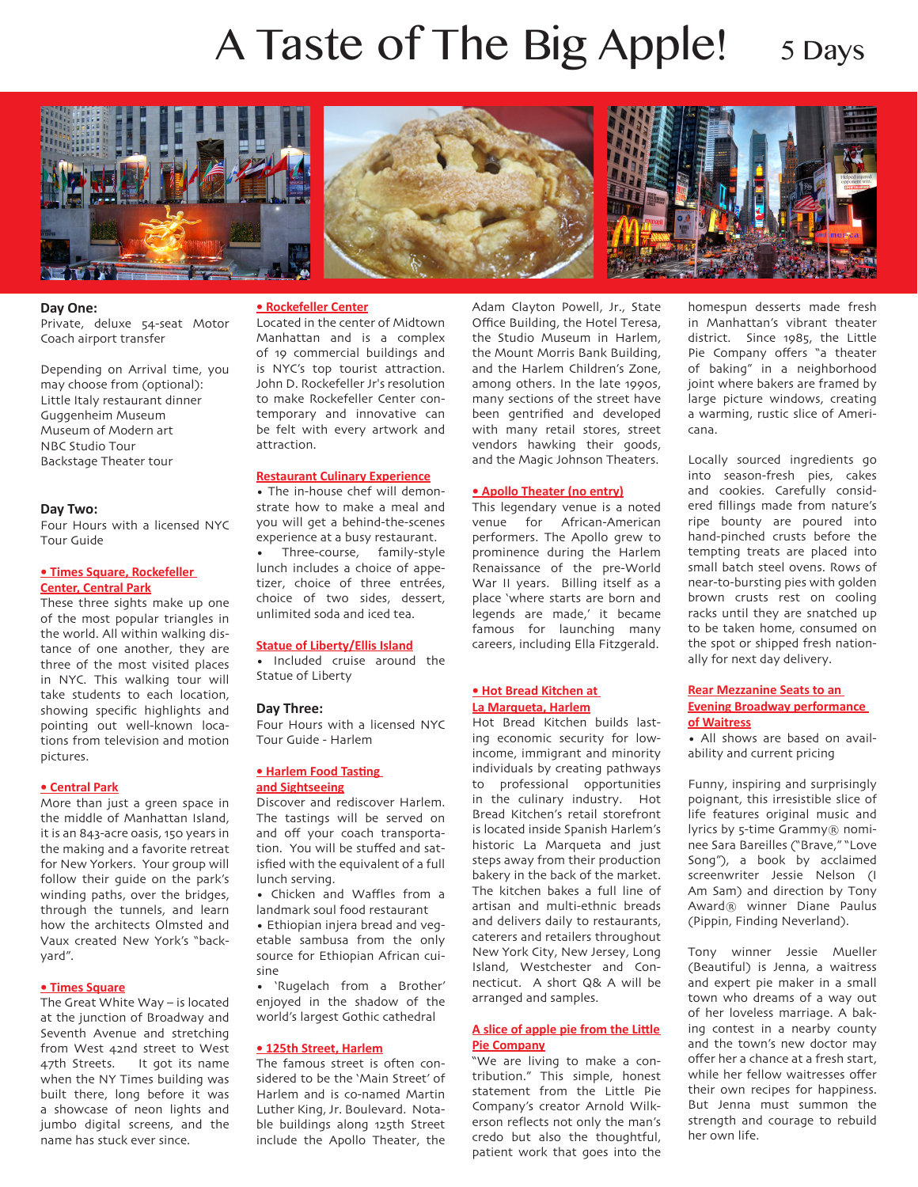# A Taste of The Big Apple! 5 Days







#### **Day One:**

Private, deluxe 54-seat Motor Coach airport transfer

Depending on Arrival time, you may choose from (optional): Little Italy restaurant dinner Guggenheim Museum Museum of Modern art NBC Studio Tour Backstage Theater tour

## **Day Two:**

Four Hours with a licensed NYC Tour Guide

#### **• Times Square, Rockefeller Center, Central Park**

These three sights make up one of the most popular triangles in the world. All within walking distance of one another, they are three of the most visited places in NYC. This walking tour will take students to each location, showing specific highlights and pointing out well-known locations from television and motion pictures.

#### **• Central Park**

More than just a green space in the middle of Manhattan Island, it is an 843-acre oasis, 150 years in the making and a favorite retreat for New Yorkers. Your group will follow their guide on the park's winding paths, over the bridges, through the tunnels, and learn how the architects Olmsted and Vaux created New York's "backyard".

#### **• Times Square**

The Great White Way – is located at the junction of Broadway and Seventh Avenue and stretching from West 42nd street to West 47th Streets. It got its name when the NY Times building was built there, long before it was a showcase of neon lights and jumbo digital screens, and the name has stuck ever since.

#### **• Rockefeller Center**

Located in the center of Midtown Manhattan and is a complex of 19 commercial buildings and is NYC's top tourist attraction. John D. Rockefeller Jr's resolution to make Rockefeller Center contemporary and innovative can be felt with every artwork and attraction.

# **Restaurant Culinary Experience**

• The in-house chef will demonstrate how to make a meal and you will get a behind-the-scenes experience at a busy restaurant.

• Three-course, family-style lunch includes a choice of appetizer, choice of three entrées, choice of two sides, dessert, unlimited soda and iced tea.

# **Statue of Liberty/Ellis Island**

• Included cruise around the Statue of Liberty

# **Day Three:**

Four Hours with a licensed NYC Tour Guide - Harlem

# **• Harlem Food Tasting and Sightseeing**

Discover and rediscover Harlem. The tastings will be served on and off your coach transportation. You will be stuffed and satisfied with the equivalent of a full lunch serving.

• Chicken and Waffles from a landmark soul food restaurant

• Ethiopian injera bread and vegetable sambusa from the only source for Ethiopian African cuisine

• 'Rugelach from a Brother' enjoyed in the shadow of the world's largest Gothic cathedral

# **• 125th Street, Harlem**

The famous street is often considered to be the 'Main Street' of Harlem and is co-named Martin Luther King, Jr. Boulevard. Notable buildings along 125th Street include the Apollo Theater, the

Adam Clayton Powell, Jr., State Office Building, the Hotel Teresa, the Studio Museum in Harlem, the Mount Morris Bank Building, and the Harlem Children's Zone, among others. In the late 1990s, many sections of the street have been gentrified and developed with many retail stores, street vendors hawking their goods, and the Magic Johnson Theaters.

#### **• Apollo Theater (no entry)**

This legendary venue is a noted venue for African-American performers. The Apollo grew to prominence during the Harlem Renaissance of the pre-World War II years. Billing itself as a place 'where starts are born and legends are made,' it became famous for launching many careers, including Ella Fitzgerald.

#### **• Hot Bread Kitchen at La Marqueta, Harlem**

Hot Bread Kitchen builds lasting economic security for lowincome, immigrant and minority individuals by creating pathways to professional opportunities in the culinary industry. Hot Bread Kitchen's retail storefront is located inside Spanish Harlem's historic La Marqueta and just steps away from their production bakery in the back of the market. The kitchen bakes a full line of artisan and multi-ethnic breads and delivers daily to restaurants, caterers and retailers throughout New York City, New Jersey, Long Island, Westchester and Connecticut. A short Q& A will be arranged and samples.

# **A slice of apple pie from the Little Pie Company**

"We are living to make a contribution." This simple, honest statement from the Little Pie Company's creator Arnold Wilkerson reflects not only the man's credo but also the thoughtful, patient work that goes into the

homespun desserts made fresh in Manhattan's vibrant theater district. Since 1985, the Little Pie Company offers "a theater of baking" in a neighborhood joint where bakers are framed by large picture windows, creating a warming, rustic slice of Americana.

Locally sourced ingredients go into season-fresh pies, cakes and cookies. Carefully considered fillings made from nature's ripe bounty are poured into hand-pinched crusts before the tempting treats are placed into small batch steel ovens. Rows of near-to-bursting pies with golden brown crusts rest on cooling racks until they are snatched up to be taken home, consumed on the spot or shipped fresh nationally for next day delivery.

# **Rear Mezzanine Seats to an Evening Broadway performance of Waitress**

• All shows are based on availability and current pricing

Funny, inspiring and surprisingly poignant, this irresistible slice of life features original music and lyrics by 5-time Grammy® nominee Sara Bareilles ("Brave," "Love Song"), a book by acclaimed screenwriter Jessie Nelson (I Am Sam) and direction by Tony Award® winner Diane Paulus (Pippin, Finding Neverland).

Tony winner Jessie Mueller (Beautiful) is Jenna, a waitress and expert pie maker in a small town who dreams of a way out of her loveless marriage. A baking contest in a nearby county and the town's new doctor may offer her a chance at a fresh start, while her fellow waitresses offer their own recipes for happiness. But Jenna must summon the strength and courage to rebuild her own life.